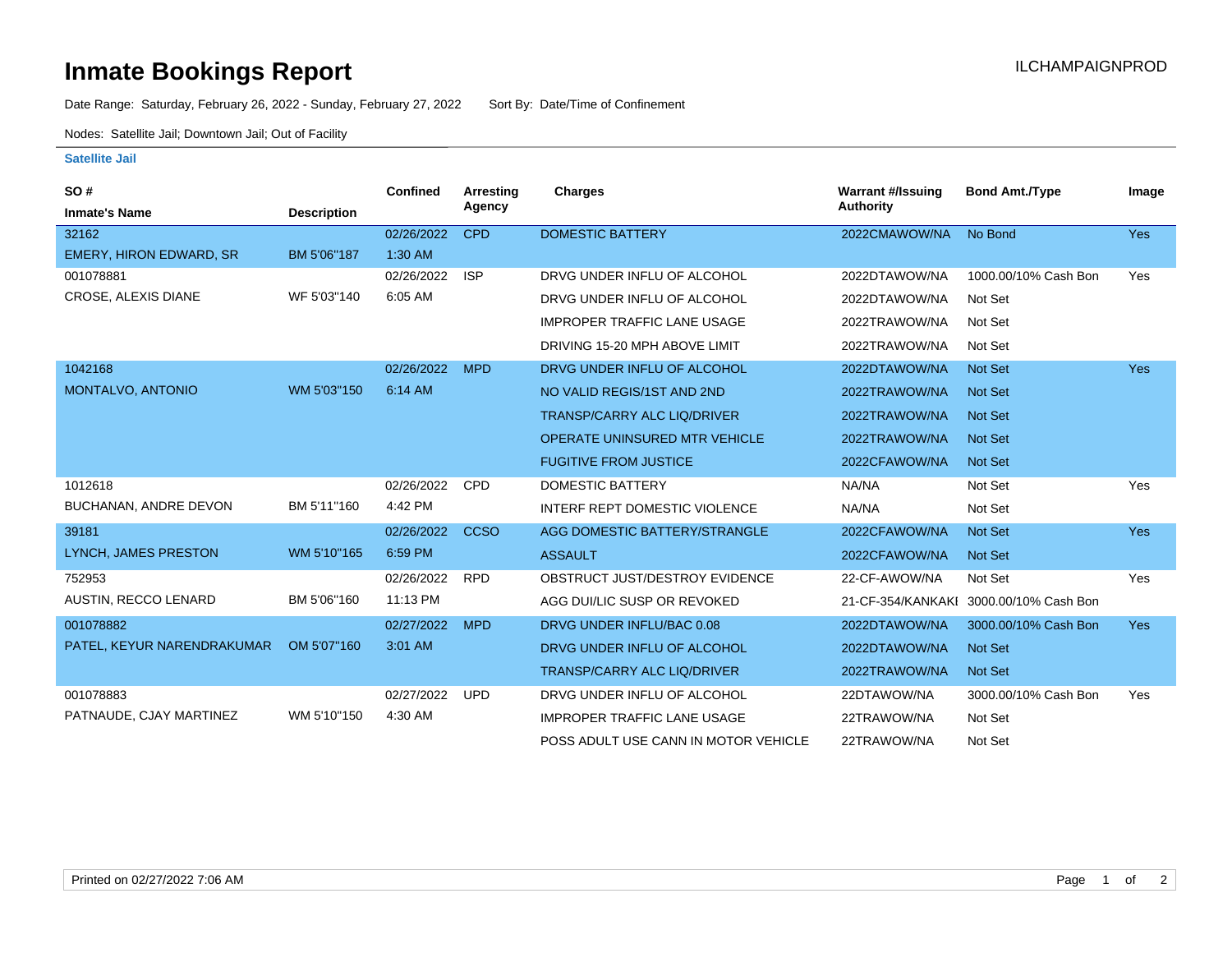## **Inmate Bookings Report Installation ILCHAMPAIGNPROD**

Date Range: Saturday, February 26, 2022 - Sunday, February 27, 2022 Sort By: Date/Time of Confinement

Nodes: Satellite Jail; Downtown Jail; Out of Facility

## **Satellite Jail**

| SO#                         |                    | Confined   | Arresting<br>Agency | <b>Charges</b>                       | <b>Warrant #/Issuing</b><br>Authority | <b>Bond Amt./Type</b>                  | Image      |
|-----------------------------|--------------------|------------|---------------------|--------------------------------------|---------------------------------------|----------------------------------------|------------|
| <b>Inmate's Name</b>        | <b>Description</b> |            |                     |                                      |                                       |                                        |            |
| 32162                       |                    | 02/26/2022 | <b>CPD</b>          | <b>DOMESTIC BATTERY</b>              | 2022CMAWOW/NA                         | No Bond                                | <b>Yes</b> |
| EMERY, HIRON EDWARD, SR     | BM 5'06"187        | $1:30$ AM  |                     |                                      |                                       |                                        |            |
| 001078881                   |                    | 02/26/2022 | <b>ISP</b>          | DRVG UNDER INFLU OF ALCOHOL          | 2022DTAWOW/NA                         | 1000.00/10% Cash Bon                   | Yes        |
| CROSE, ALEXIS DIANE         | WF 5'03"140        | 6:05 AM    |                     | DRVG UNDER INFLU OF ALCOHOL          | 2022DTAWOW/NA                         | Not Set                                |            |
|                             |                    |            |                     | <b>IMPROPER TRAFFIC LANE USAGE</b>   | 2022TRAWOW/NA                         | Not Set                                |            |
|                             |                    |            |                     | DRIVING 15-20 MPH ABOVE LIMIT        | 2022TRAWOW/NA                         | Not Set                                |            |
| 1042168                     |                    | 02/26/2022 | <b>MPD</b>          | DRVG UNDER INFLU OF ALCOHOL          | 2022DTAWOW/NA                         | <b>Not Set</b>                         | Yes        |
| MONTALVO, ANTONIO           | WM 5'03"150        | 6:14 AM    |                     | NO VALID REGIS/1ST AND 2ND           | 2022TRAWOW/NA                         | <b>Not Set</b>                         |            |
|                             |                    |            |                     | <b>TRANSP/CARRY ALC LIQ/DRIVER</b>   | 2022TRAWOW/NA                         | <b>Not Set</b>                         |            |
|                             |                    |            |                     | <b>OPERATE UNINSURED MTR VEHICLE</b> | 2022TRAWOW/NA                         | Not Set                                |            |
|                             |                    |            |                     | <b>FUGITIVE FROM JUSTICE</b>         | 2022CFAWOW/NA                         | Not Set                                |            |
| 1012618                     |                    | 02/26/2022 | <b>CPD</b>          | <b>DOMESTIC BATTERY</b>              | NA/NA                                 | Not Set                                | Yes        |
| BUCHANAN, ANDRE DEVON       | BM 5'11"160        | 4:42 PM    |                     | <b>INTERF REPT DOMESTIC VIOLENCE</b> | NA/NA                                 | Not Set                                |            |
| 39181                       |                    | 02/26/2022 | <b>CCSO</b>         | AGG DOMESTIC BATTERY/STRANGLE        | 2022CFAWOW/NA                         | Not Set                                | <b>Yes</b> |
| LYNCH, JAMES PRESTON        | WM 5'10"165        | 6:59 PM    |                     | <b>ASSAULT</b>                       | 2022CFAWOW/NA                         | Not Set                                |            |
| 752953                      |                    | 02/26/2022 | <b>RPD</b>          | OBSTRUCT JUST/DESTROY EVIDENCE       | 22-CF-AWOW/NA                         | Not Set                                | Yes        |
| <b>AUSTIN, RECCO LENARD</b> | BM 5'06"160        | 11:13 PM   |                     | AGG DUI/LIC SUSP OR REVOKED          |                                       | 21-CF-354/KANKAKI 3000.00/10% Cash Bon |            |
| 001078882                   |                    | 02/27/2022 | <b>MPD</b>          | DRVG UNDER INFLU/BAC 0.08            | 2022DTAWOW/NA                         | 3000.00/10% Cash Bon                   | <b>Yes</b> |
| PATEL, KEYUR NARENDRAKUMAR  | OM 5'07"160        | 3:01 AM    |                     | DRVG UNDER INFLU OF ALCOHOL          | 2022DTAWOW/NA                         | Not Set                                |            |
|                             |                    |            |                     | TRANSP/CARRY ALC LIQ/DRIVER          | 2022TRAWOW/NA                         | Not Set                                |            |
| 001078883                   |                    | 02/27/2022 | <b>UPD</b>          | DRVG UNDER INFLU OF ALCOHOL          | 22DTAWOW/NA                           | 3000.00/10% Cash Bon                   | Yes        |
| PATNAUDE, CJAY MARTINEZ     | WM 5'10"150        | 4:30 AM    |                     | <b>IMPROPER TRAFFIC LANE USAGE</b>   | 22TRAWOW/NA                           | Not Set                                |            |
|                             |                    |            |                     | POSS ADULT USE CANN IN MOTOR VEHICLE | 22TRAWOW/NA                           | Not Set                                |            |